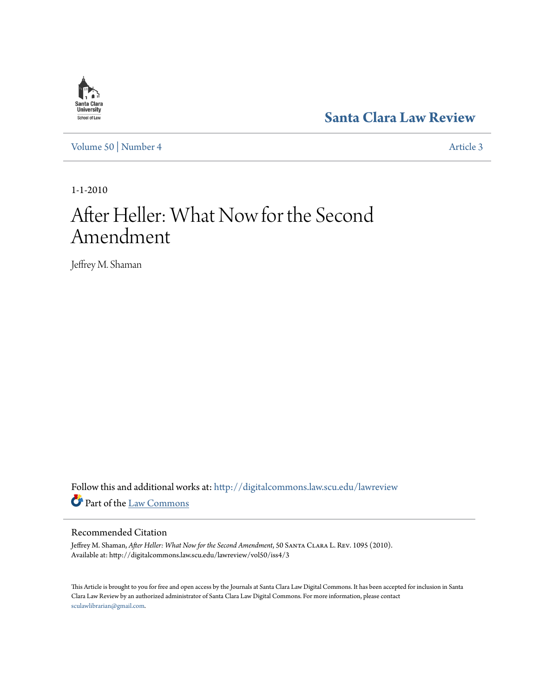# **[Santa Clara Law Review](http://digitalcommons.law.scu.edu/lawreview?utm_source=digitalcommons.law.scu.edu%2Flawreview%2Fvol50%2Fiss4%2F3&utm_medium=PDF&utm_campaign=PDFCoverPages)**

[Volume 50](http://digitalcommons.law.scu.edu/lawreview/vol50?utm_source=digitalcommons.law.scu.edu%2Flawreview%2Fvol50%2Fiss4%2F3&utm_medium=PDF&utm_campaign=PDFCoverPages) | [Number 4](http://digitalcommons.law.scu.edu/lawreview/vol50/iss4?utm_source=digitalcommons.law.scu.edu%2Flawreview%2Fvol50%2Fiss4%2F3&utm_medium=PDF&utm_campaign=PDFCoverPages) [Article 3](http://digitalcommons.law.scu.edu/lawreview/vol50/iss4/3?utm_source=digitalcommons.law.scu.edu%2Flawreview%2Fvol50%2Fiss4%2F3&utm_medium=PDF&utm_campaign=PDFCoverPages)

1-1-2010

# After Heller: What Now for the Second Amendment

Jeffrey M. Shaman

Follow this and additional works at: [http://digitalcommons.law.scu.edu/lawreview](http://digitalcommons.law.scu.edu/lawreview?utm_source=digitalcommons.law.scu.edu%2Flawreview%2Fvol50%2Fiss4%2F3&utm_medium=PDF&utm_campaign=PDFCoverPages) Part of the [Law Commons](http://network.bepress.com/hgg/discipline/578?utm_source=digitalcommons.law.scu.edu%2Flawreview%2Fvol50%2Fiss4%2F3&utm_medium=PDF&utm_campaign=PDFCoverPages)

### Recommended Citation

Jeffrey M. Shaman, *After Heller: What Now for the Second Amendment*, 50 Santa Clara L. Rev. 1095 (2010). Available at: http://digitalcommons.law.scu.edu/lawreview/vol50/iss4/3

This Article is brought to you for free and open access by the Journals at Santa Clara Law Digital Commons. It has been accepted for inclusion in Santa Clara Law Review by an authorized administrator of Santa Clara Law Digital Commons. For more information, please contact [sculawlibrarian@gmail.com](mailto:sculawlibrarian@gmail.com).

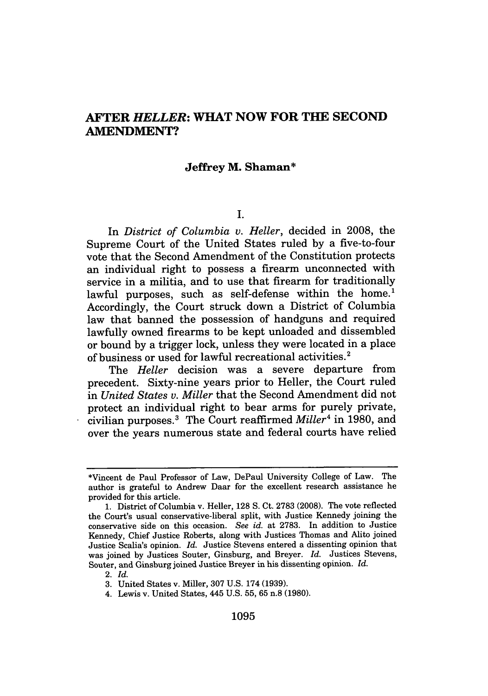## **AFTER** *HELLER:* **WHAT NOW FOR THE SECOND AMENDMENT?**

#### **Jeffrey M. Shaman\***

**I.**

In *District of Columbia v. Heller,* decided in 2008, the Supreme Court of the United States ruled by a five-to-four vote that the Second Amendment of the Constitution protects an individual right to possess a firearm unconnected with service in a militia, and to use that firearm for traditionally lawful purposes, such as self-defense within the home.<sup>1</sup> Accordingly, the Court struck down a District of Columbia law that banned the possession of handguns and required lawfully owned firearms to be kept unloaded and dissembled or bound by a trigger lock, unless they were located in a place of business or used for lawful recreational activities.'

The *Heller* decision was a severe departure from precedent. Sixty-nine years prior to Heller, the Court ruled in *United States v. Miller* that the Second Amendment did not protect an individual right to bear arms for purely private, civilian purposes.3 The Court reaffirmed *Miller4* in 1980, and over the years numerous state and federal courts have relied

<sup>\*</sup>Vincent de Paul Professor of Law, DePaul University College of Law. The author is grateful to Andrew Daar for the excellent research assistance he provided for this article.

<sup>1.</sup> District of Columbia v. Heller, 128 S. Ct. 2783 (2008). The vote reflected the Court's usual conservative-liberal split, with Justice Kennedy joining the conservative side on this occasion. *See id.* at 2783. In addition to Justice Kennedy, Chief Justice Roberts, along with Justices Thomas and Alito joined Justice Scalia's opinion. *Id.* Justice Stevens entered a dissenting opinion that was joined by Justices Souter, Ginsburg, and Breyer. *Id.* Justices Stevens, Souter, and Ginsburg joined Justice Breyer in his dissenting opinion. *Id.*

<sup>2.</sup> *Id.*

<sup>3.</sup> United States v. Miller, 307 U.S. 174 (1939).

<sup>4.</sup> Lewis v. United States, 445 U.S. 55, 65 n.8 (1980).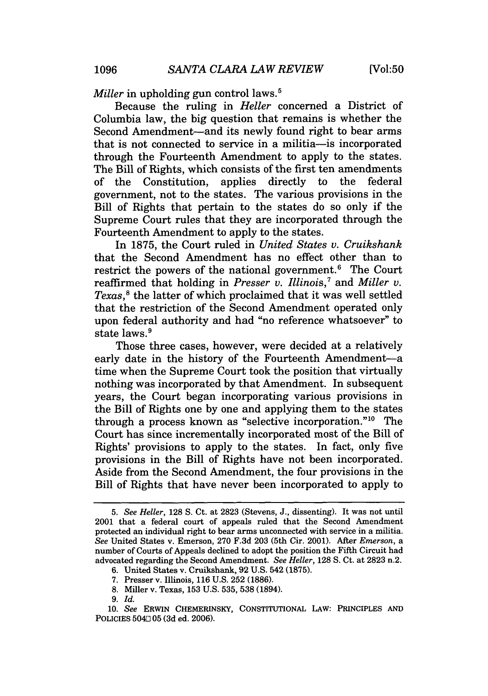*Miller* in upholding gun control laws.<sup>5</sup>

Because the ruling in *Heller* concerned a District of Columbia law, the big question that remains is whether the Second Amendment-and its newly found right to bear arms that is not connected to service in a militia-is incorporated through the Fourteenth Amendment to apply to the states. The Bill of Rights, which consists of the first ten amendments of the Constitution, applies directly to the federal government, not to the states. The various provisions in the Bill of Rights that pertain to the states do so only if the Supreme Court rules that they are incorporated through the Fourteenth Amendment to apply to the states.

In 1875, the Court ruled in *United States v. Cruikshank* that the Second Amendment has no effect other than to restrict the powers of the national government.6 The Court reaffirmed that holding in *Presser v. Illinois,7 and Miller v. Texas,'* the latter of which proclaimed that it was well settled that the restriction of the Second Amendment operated only upon federal authority and had "no reference whatsoever" to state laws.<sup>9</sup>

Those three cases, however, were decided at a relatively early date in the history of the Fourteenth Amendment-a time when the Supreme Court took the position that virtually nothing was incorporated by that Amendment. In subsequent years, the Court began incorporating various provisions in the Bill of Rights one by one and applying them to the states through a process known as "selective incorporation." $10$  The Court has since incrementally incorporated most of the Bill of Rights' provisions to apply to the states. In fact, only five provisions in the Bill of Rights have not been incorporated. Aside from the Second Amendment, the four provisions in the Bill of Rights that have never been incorporated to apply to

*<sup>5.</sup> See Heller,* 128 **S.** Ct. at 2823 (Stevens, J., dissenting). It was not until 2001 that a federal court of appeals ruled that the Second Amendment protected an individual right to bear arms unconnected with service in a militia. *See* United States v. Emerson, 270 F.3d 203 (5th Cir. 2001). After *Emerson,* a number of Courts of Appeals declined to adopt the position the Fifth Circuit had advocated regarding the Second Amendment. *See Heller,* 128 **S.** Ct. at 2823 n.2.

<sup>6.</sup> United States v. Cruikshank, 92 U.S. 542 (1875).

<sup>7.</sup> Presser v. Illinois, 116 U.S. 252 (1886).

<sup>8.</sup> Miller v. Texas, 153 U.S. 535, 538 (1894).

**<sup>9.</sup>** *Id.*

**<sup>10.</sup>** *See* **ERwIN CHEMERINSKY, CONSTITUTIONAL LAW: PRINCIPLES AND** POLICIES 5040 05 **(3d** ed. **2006).**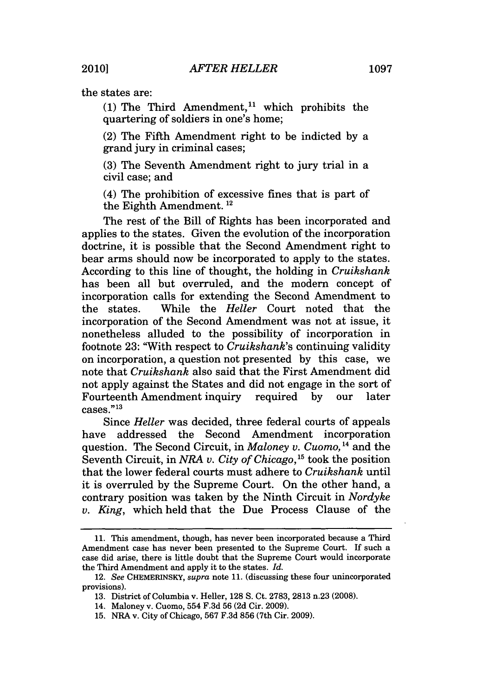the states are:

(1) The Third Amendment,<sup>11</sup> which prohibits the quartering of soldiers in one's home;

(2) The Fifth Amendment right to be indicted by a grand jury in criminal cases;

(3) The Seventh Amendment right to jury trial in a civil case; and

(4) The prohibition of excessive fines that is part of the Eighth Amendment.<sup>12</sup>

The rest of the Bill of Rights has been incorporated and applies to the states. Given the evolution of the incorporation doctrine, it is possible that the Second Amendment right to bear arms should now be incorporated to apply to the states. According to this line of thought, the holding in *Cruikshank* has been all but overruled, and the modern concept of incorporation calls for extending the Second Amendment to the states. While the *Heller* Court noted that the incorporation of the Second Amendment was not at issue, it nonetheless alluded to the possibility of incorporation in footnote 23: "With respect to *Cruikshank's* continuing validity on incorporation, a question not presented by this case, we note that *Cruikshank* also said that the First Amendment did not apply against the States and did not engage in the sort of Fourteenth Amendment inquiry required by our later  $\frac{20}{2}$  cases."<sup>13</sup>

Since *Heller* was decided, three federal courts of appeals have addressed the Second Amendment incorporation question. The Second Circuit, in *Maloney v. Cuomo*, <sup>14</sup> and the Seventh Circuit, in *NRA v. City of Chicago,15* took the position that the lower federal courts must adhere to *Cruikshank* until it is overruled by the Supreme Court. On the other hand, a contrary position was taken by the Ninth Circuit in *Nordyke v. King,* which held that the Due Process Clause of the

<sup>11.</sup> This amendment, though, has never been incorporated because a Third Amendment case has never been presented to the Supreme Court. If such a case did arise, there is little doubt that the Supreme Court would incorporate the Third Amendment and apply it to the states. *Id.*

<sup>12.</sup> *See* CHEMERINSKY, *supra* note 11. (discussing these four unincorporated provisions).

<sup>13.</sup> District of Columbia v. Heller, 128 S. Ct. 2783, 2813 n.23 (2008).

<sup>14.</sup> Maloney v. Cuomo, 554 F.3d 56 (2d Cir. 2009).

<sup>15.</sup> NRA v. City of Chicago, 567 F.3d 856 (7th Cir. 2009).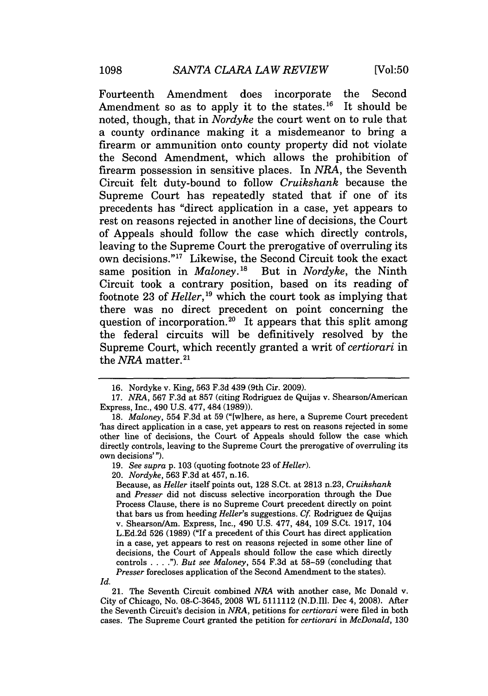Fourteenth Amendment does incorporate the Second Amendment so as to apply it to the states.<sup>16</sup> It should be noted, though, that in *Nordyke* the court went on to rule that a county ordinance making it a misdemeanor to bring a firearm or ammunition onto county property did not violate the Second Amendment, which allows the prohibition of firearm possession in sensitive places. In *NRA,* the Seventh Circuit felt duty-bound to follow *Cruikshank* because the Supreme Court has repeatedly stated that if one of its precedents has "direct application in a case, yet appears to rest on reasons rejected in another line of decisions, the Court of Appeals should follow the case which directly controls, leaving to the Supreme Court the prerogative of overruling its own decisions."<sup>17</sup> Likewise, the Second Circuit took the exact same position in *Maloney*.<sup>18</sup> But in *Nordyke*, the Ninth Circuit took a contrary position, based on its reading of footnote 23 of *Heller*,<sup>19</sup> which the court took as implying that there was no direct precedent on point concerning the question of incorporation.<sup>20</sup> It appears that this split among the federal circuits will be definitively resolved by the Supreme Court, which recently granted a writ of *certiorari* in the *NRA* matter.<sup>21</sup>

Because, as *Heller* itself points out, 128 S.Ct. at 2813 n.23, *Cruikshank* and *Presser* did not discuss selective incorporation through the Due Process Clause, there is no Supreme Court precedent directly on point that bars us from heeding *Heller's* suggestions. *Cf* Rodriguez de Quijas v. Shearson/Am. Express, Inc., 490 U.S. 477, 484, 109 S.Ct. 1917, 104 L.Ed.2d 526 (1989) ("If a precedent of this Court has direct application in a case, yet appears to rest on reasons rejected in some other line of decisions, the Court of Appeals should follow the case which directly controls **. . .** *."). But see Maloney,* 554 F.3d at 58-59 (concluding that *Presser* forecloses application of the Second Amendment to the states).

*Id.*

21. The Seventh Circuit combined *NRA* with another case, Mc Donald v. City of Chicago, No. 08-C-3645, 2008 WL 5111112 (N.D.Ill. Dec 4, 2008). After the Seventh Circuit's decision in *NRA,* petitions for *certiorari* were filed in both cases. The Supreme Court granted the petition for *certiorari in McDonald,* 130

<sup>16.</sup> Nordyke v. King, 563 F.3d 439 (9th Cir. 2009).

<sup>17.</sup> *NRA,* 567 F.3d at 857 (citing Rodriguez de Quijas v. Shearson/American Express, Inc., 490 U.S. 477, 484 (1989)).

<sup>18.</sup> *Maloney,* 554 F.3d at 59 ("[wlhere, as here, a Supreme Court precedent 'has direct application in a case, yet appears to rest on reasons rejected in some other line of decisions, the Court of Appeals should follow the case which directly controls, leaving to the Supreme Court the prerogative of overruling its own decisions'").

<sup>19.</sup> *See supra* p. 103 (quoting footnote 23 of *Heller).*

<sup>20.</sup> *Nordyke,* 563 F.3d at 457, n.16.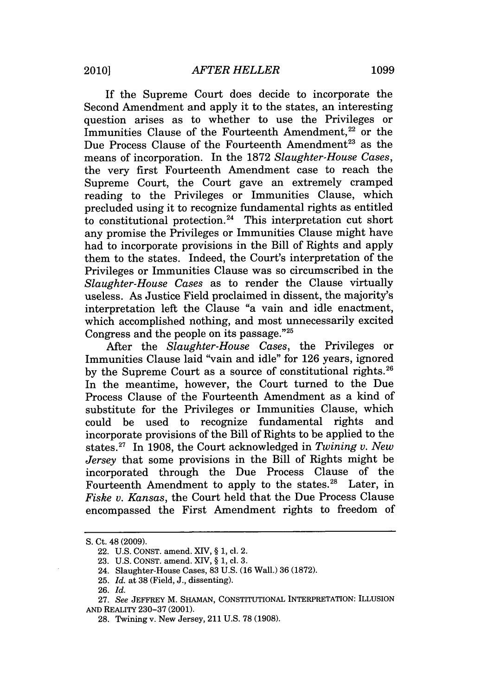If the Supreme Court does decide to incorporate the Second Amendment and apply it to the states, an interesting question arises as to whether to use the Privileges or Immunities Clause of the Fourteenth Amendment, $22$  or the Due Process Clause of the Fourteenth Amendment<sup>23</sup> as the means of incorporation. In the 1872 *Slaughter-House Cases,* the very first Fourteenth Amendment case to reach the Supreme Court, the Court gave an extremely cramped reading to the Privileges or Immunities Clause, which precluded using it to recognize fundamental rights as entitled to constitutional protection.<sup>24</sup> This interpretation cut short any promise the Privileges or Immunities Clause might have had to incorporate provisions in the Bill of Rights and apply them to the states. Indeed, the Court's interpretation of the Privileges or Immunities Clause was so circumscribed in the *Slaughter-House Cases* as to render the Clause virtually useless. As Justice Field proclaimed in dissent, the majority's interpretation left the Clause "a vain and idle enactment, which accomplished nothing, and most unnecessarily excited Congress and the people on its passage. **"25**

After the *Slaughter-House Cases,* the Privileges or Immunities Clause laid "vain and idle" for 126 years, ignored by the Supreme Court as a source of constitutional rights.<sup>26</sup> In the meantime, however, the Court turned to the Due Process Clause of the Fourteenth Amendment as a kind of substitute for the Privileges or Immunities Clause, which could be used to recognize fundamental rights and incorporate provisions of the Bill of Rights to be applied to the states.27 In 1908, the Court acknowledged in *Twining v. New Jersey* that some provisions in the Bill of Rights might be incorporated through the Due Process Clause of the Fourteenth Amendment to apply to the states.<sup>28</sup> Later, in *Fiske v. Kansas,* the Court held that the Due Process Clause encompassed the First Amendment rights to freedom of

25. *Id.* at 38 (Field, J., dissenting).

S. Ct. 48 (2009).

<sup>22.</sup> U.S. CONST. amend. XIV, § 1, cl. 2.

<sup>23.</sup> U.S. CONST. amend. XIV, § 1, **cl.** 3.

<sup>24.</sup> Slaughter-House Cases, 83 U.S. (16 Wall.) 36 (1872).

<sup>26.</sup> *Id.*

<sup>27.</sup> *See* JEFFREY M. **SHAMAN,** CONSTITUTIONAL INTERPRETATION: ILLUSION AND REALITY 230-37 (2001).

<sup>28.</sup> Twining v. New Jersey, 211 U.S. 78 (1908).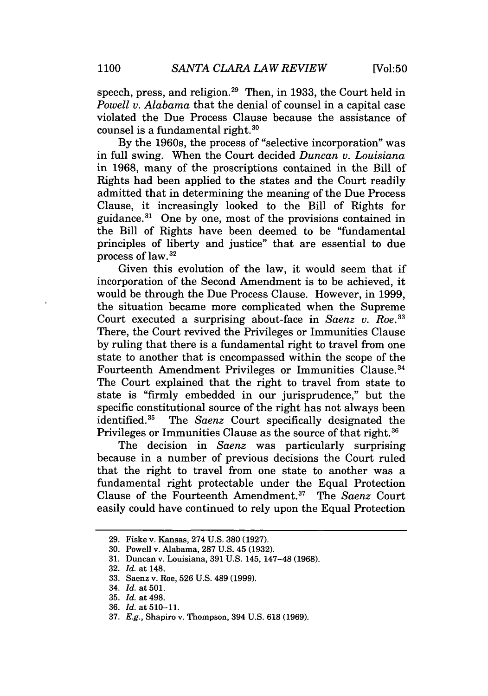speech, press, and religion.<sup>29</sup> Then, in 1933, the Court held in *Powell v. Alabama* that the denial of counsel in a capital case violated the Due Process Clause because the assistance of counsel is a fundamental right.<sup>30</sup>

By the 1960s, the process of "selective incorporation" was in full swing. When the Court decided *Duncan v. Louisiana* in 1968, many of the proscriptions contained in the Bill of Rights had been applied to the states and the Court readily admitted that in determining the meaning of the Due Process Clause, it increasingly looked to the Bill of Rights for guidance. 3' One by one, most of the provisions contained in the Bill of Rights have been deemed to be "fundamental principles of liberty and justice" that are essential to due process of law.32

Given this evolution of the law, it would seem that if incorporation of the Second Amendment is to be achieved, it would be through the Due Process Clause. However, in 1999, the situation became more complicated when the Supreme Court executed a surprising about-face in *Saenz v. Roe.33* There, the Court revived the Privileges or Immunities Clause by ruling that there is a fundamental right to travel from one state to another that is encompassed within the scope of the Fourteenth Amendment Privileges or Immunities Clause.34 The Court explained that the right to travel from state to state is "firmly embedded in our jurisprudence," but the specific constitutional source of the right has not always been identified.<sup>35</sup> The *Saenz* Court specifically designated the Privileges or Immunities Clause as the source of that right.<sup>36</sup>

The decision in *Saenz* was particularly surprising because in a number of previous decisions the Court ruled that the right to travel from one state to another was a fundamental right protectable under the Equal Protection Clause of the Fourteenth Amendment.37 The *Saenz* Court easily could have continued to rely upon the Equal Protection

<sup>29.</sup> Fiske v. Kansas, 274 U.S. 380 (1927).

<sup>30.</sup> Powell v. Alabama, 287 U.S. 45 (1932).

<sup>31.</sup> Duncan v. Louisiana, 391 U.S. 145, 147-48 (1968).

<sup>32.</sup> *Id.* at 148.

<sup>33.</sup> Saenz v. Roe, 526 U.S. 489 (1999).

<sup>34.</sup> *Id.* at 501.

<sup>35.</sup> *Id.* at 498.

<sup>36.</sup> *Id.* at **510-11.**

<sup>37.</sup> *E.g.,* Shapiro v. Thompson, 394 U.S. 618 (1969).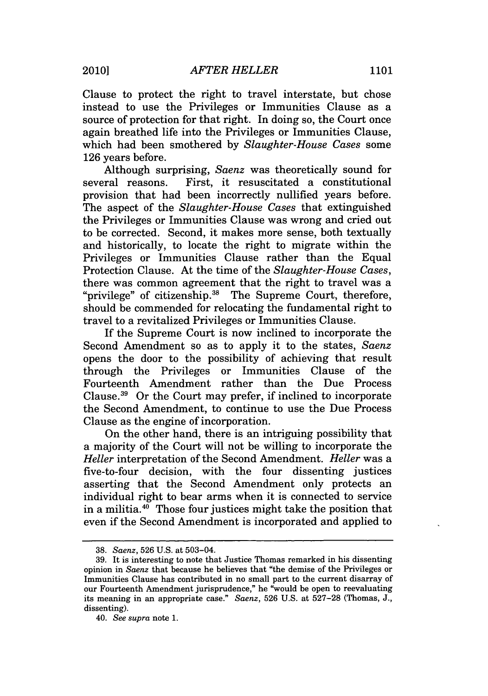Clause to protect the right to travel interstate, but chose instead to use the Privileges or Immunities Clause as a source of protection for that right. In doing so, the Court once again breathed life into the Privileges or Immunities Clause, which had been smothered by *Slaughter-House Cases* some 126 years before.

Although surprising, *Saenz* was theoretically sound for several reasons. First, it resuscitated a constitutional provision that had been incorrectly nullified years before. The aspect of the *Slaughter-House Cases* that extinguished the Privileges or Immunities Clause was wrong and cried out to be corrected. Second, it makes more sense, both textually and historically, to locate the right to migrate within the Privileges or Immunities Clause rather than the Equal Protection Clause. At the time of the *Slaughter-House Cases,* there was common agreement that the right to travel was a "privilege" of citizenship.<sup>38</sup> The Supreme Court, therefore, should be commended for relocating the fundamental right to travel to a revitalized Privileges or Immunities Clause.

If the Supreme Court is now inclined to incorporate the Second Amendment so as to apply it to the states, *Saenz* opens the door to the possibility of achieving that result through the Privileges or Immunities Clause of the Fourteenth Amendment rather than the Due Process Clause.<sup>39</sup> Or the Court may prefer, if inclined to incorporate the Second Amendment, to continue to use the Due Process Clause as the engine of incorporation.

On the other hand, there is an intriguing possibility that a majority of the Court will not be willing to incorporate the *Heller* interpretation of the Second Amendment. *Heller* was a five-to-four decision, with the four dissenting justices asserting that the Second Amendment only protects an individual right to bear arms when it is connected to service in a militia. $40$  Those four justices might take the position that even if the Second Amendment is incorporated and applied to

<sup>38.</sup> *Saenz,* 526 U.S. at 503-04.

<sup>39.</sup> It is interesting to note that Justice Thomas remarked in his dissenting opinion in *Saenz* that because he believes that "the demise of the Privileges or Immunities Clause has contributed in no small part to the current disarray of our Fourteenth Amendment jurisprudence," he "would be open to reevaluating its meaning in an appropriate case." *Saenz,* 526 U.S. at 527-28 (Thomas, J., dissenting).

<sup>40.</sup> *See supra* note 1.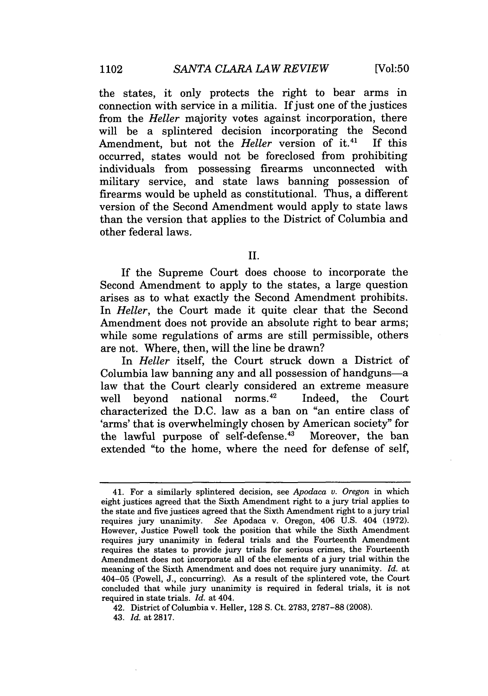the states, it only protects the right to bear arms in connection with service in a militia. If just one of the justices from the *Heller* majority votes against incorporation, there will be a splintered decision incorporating the Second Amendment, but not the *Heller* version of it.<sup>41</sup> If this occurred, states would not be foreclosed from prohibiting individuals from possessing firearms unconnected with military service, and state laws banning possession of firearms would be upheld as constitutional. Thus, a different version of the Second Amendment would apply to state laws than the version that applies to the District of Columbia and other federal laws.

II.

If the Supreme Court does choose to incorporate the Second Amendment to apply to the states, a large question arises as to what exactly the Second Amendment prohibits. In *Heller*, the Court made it quite clear that the Second Amendment does not provide an absolute right to bear arms; while some regulations of arms are still permissible, others are not. Where, then, will the line be drawn?

In *Heller* itself, the Court struck down a District of Columbia law banning any and all possession of handguns-a law that the Court clearly considered an extreme measure well beyond national norms.<sup>42</sup> Indeed, the Court characterized the D.C. law as a ban on "an entire class of 'arms' that is overwhelmingly chosen by American society" for the lawful purpose of self-defense.<sup>43</sup> Moreover, the ban extended "to the home, where the need for defense of self,

<sup>41.</sup> For a similarly splintered decision, see *Apodaca v. Oregon* in which eight justices agreed that the Sixth Amendment right to a jury trial applies to the state and five justices agreed that the Sixth Amendment right to a jury trial requires jury unanimity. *See* Apodaca v. Oregon, 406 U.S. 404 (1972). However, Justice Powell took the position that while the Sixth Amendment requires jury unanimity in federal trials and the Fourteenth Amendment requires the states to provide jury trials for serious crimes, the Fourteenth Amendment does not incorporate all of the elements of a jury trial within the meaning of the Sixth Amendment and does not require jury unanimity. *Id.* at 404-05 (Powell, J., concurring). As a result of the splintered vote, the Court concluded that while jury unanimity is required in federal trials, it is not required in state trials. *Id.* at 404.

<sup>42.</sup> District of Columbia v. Heller, 128 S. Ct. 2783, 2787-88 (2008).

<sup>43.</sup> *Id.* at 2817.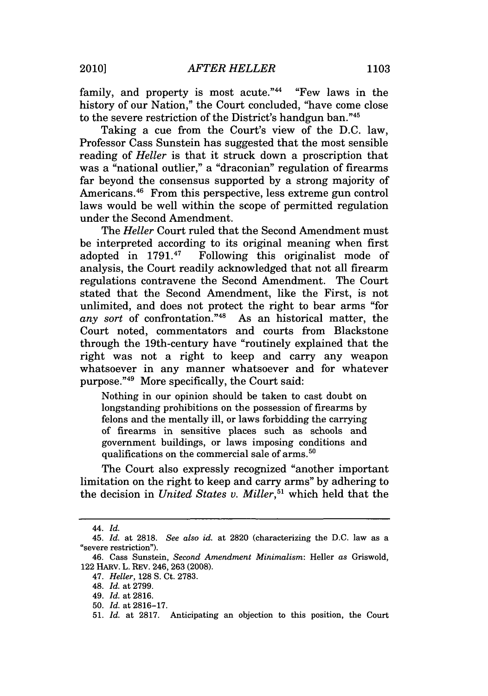family, and property is most acute." $44$  "Few laws in the history of our Nation," the Court concluded, "have come close to the severe restriction of the District's handgun ban."45

Taking a cue from the Court's view of the D.C. law, Professor Cass Sunstein has suggested that the most sensible reading of *Heller* is that it struck down a proscription that was a "national outlier," a "draconian" regulation of firearms far beyond the consensus supported by a strong majority of Americans. 46 From this perspective, less extreme gun control laws would be well within the scope of permitted regulation under the Second Amendment.

The *Heller* Court ruled that the Second Amendment must be interpreted according to its original meaning when first adopted in 1791.<sup>47</sup> Following this originalist mode of analysis, the Court readily acknowledged that not all firearm regulations contravene the Second Amendment. The Court stated that the Second Amendment, like the First, is not unlimited, and does not protect the right to bear arms "for any sort of confrontation."<sup>48</sup> As an historical matter, the Court noted, commentators and courts from Blackstone through the 19th-century have "routinely explained that the right was not a right to keep and carry any weapon whatsoever in any manner whatsoever and for whatever purpose."49 More specifically, the Court said:

Nothing in our opinion should be taken to cast doubt on longstanding prohibitions on the possession of firearms by felons and the mentally ill, or laws forbidding the carrying of firearms in sensitive places such as schools and government buildings, or laws imposing conditions and qualifications on the commercial sale of arms.<sup>50</sup>

The Court also expressly recognized "another important limitation on the right to keep and carry arms" by adhering to the decision in *United States v. Miller,51* which held that the

<sup>44.</sup> *Id.*

<sup>45.</sup> *Id.* at 2818. *See also id.* at 2820 (characterizing the D.C. law as a "severe restriction").

<sup>46.</sup> Cass Sunstein, *Second Amendment Minimalism:* Heller *as* Griswold, 122 HARv. L. REV. 246, 263 (2008).

<sup>47.</sup> *Heller,* 128 S. Ct. 2783.

<sup>48.</sup> *Id.* at 2799.

<sup>49.</sup> *Id.* at 2816.

<sup>50.</sup> *Id.* at 2816-17.

<sup>51.</sup> *Id.* at 2817. Anticipating an objection to this position, the Court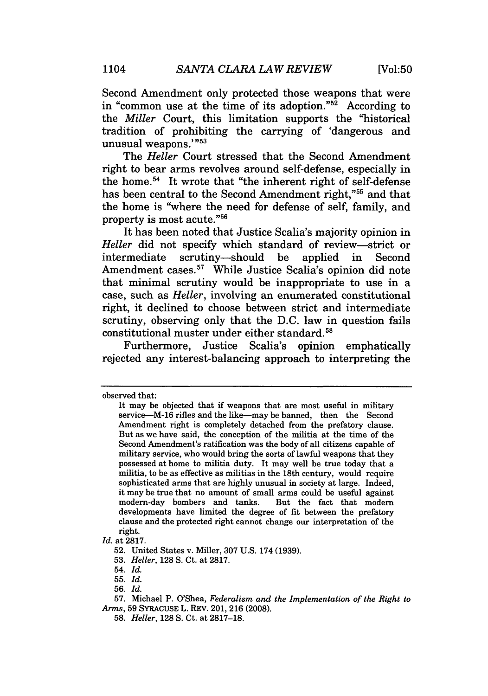Second Amendment only protected those weapons that were in "common use at the time of its adoption."52 According to the *Miller* Court, this limitation supports the "historical tradition of prohibiting the carrying of 'dangerous and unusual weapons.'"<sup>53</sup>

The *Heller* Court stressed that the Second Amendment right to bear arms revolves around self-defense, especially in the home.<sup>54</sup> It wrote that "the inherent right of self-defense has been central to the Second Amendment right."<sup>55</sup> and that the home is "where the need for defense of self, family, and property is most acute."56

It has been noted that Justice Scalia's majority opinion in *Heller* did not specify which standard of review-strict or intermediate scrutiny-should be applied in Second Amendment cases.<sup>57</sup> While Justice Scalia's opinion did note that minimal scrutiny would be inappropriate to use in a case, such as *Heller,* involving an enumerated constitutional right, it declined to choose between strict and intermediate scrutiny, observing only that the D.C. law in question fails constitutional muster under either standard.<sup>58</sup>

Furthermore, Justice Scalia's opinion emphatically rejected any interest-balancing approach to interpreting the

observed that:

It may be objected that if weapons that are most useful in military service-M-16 rifles and the like-may be banned, then the Second Amendment right is completely detached from the prefatory clause. But as we have said, the conception of the militia at the time of the Second Amendment's ratification was the body of all citizens capable of military service, who would bring the sorts of lawful weapons that they possessed at home to militia duty. It may well be true today that a militia, to be as effective as militias in the 18th century, would require sophisticated arms that are highly unusual in society at large. Indeed, it may be true that no amount of small arms could be useful against modern-day bombers and tanks. But the fact that modern developments have limited the degree of fit between the prefatory clause and the protected right cannot change our interpretation of the right.

*Id.* at 2817.

<sup>52.</sup> United States v. Miller, 307 U.S. 174 (1939).

<sup>53.</sup> *Heller,* 128 **S.** Ct. at 2817.

<sup>54.</sup> *Id.*

<sup>55.</sup> *Id.*

<sup>56.</sup> *Id.*

<sup>57.</sup> Michael P. O'Shea, *Federalism and the Implementation of the Right to Arms,* 59 SYRACUSE L. REV. 201, 216 (2008).

<sup>58.</sup> *Heller,* 128 **S.** Ct. at 2817-18.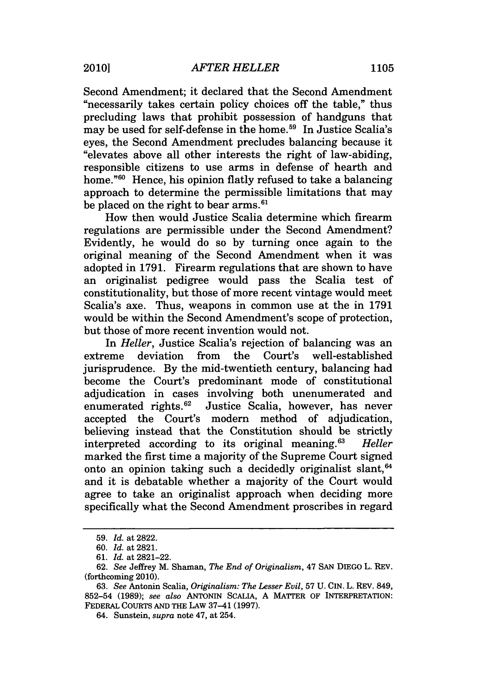Second Amendment; it declared that the Second Amendment "necessarily takes certain policy choices off the table," thus precluding laws that prohibit possession of handguns that may be used for self-defense in the home.<sup>59</sup> In Justice Scalia's eyes, the Second Amendment precludes balancing because it "elevates above all other interests the right of law-abiding, responsible citizens to use arms in defense of hearth and home."<sup>60</sup> Hence, his opinion flatly refused to take a balancing approach to determine the permissible limitations that may be placed on the right to bear arms.<sup>61</sup>

How then would Justice Scalia determine which firearm regulations are permissible under the Second Amendment? Evidently, he would do so by turning once again to the original meaning of the Second Amendment when it was adopted in 1791. Firearm regulations that are shown to have an originalist pedigree would pass the Scalia test of constitutionality, but those of more recent vintage would meet Scalia's axe. Thus, weapons in common use at the in 1791 would be within the Second Amendment's scope of protection, but those of more recent invention would not.

In *Heller,* Justice Scalia's rejection of balancing was an extreme deviation from the Court's well-established jurisprudence. By the mid-twentieth century, balancing had become the Court's predominant mode of constitutional adjudication in cases involving both unenumerated and enumerated rights.<sup>62</sup> Justice Scalia, however, has never accepted the Court's modem method of adjudication, believing instead that the Constitution should be strictly interpreted according to its original meaning.63 *Heller* marked the first time a majority of the Supreme Court signed onto an opinion taking such a decidedly originalist slant,  $64$ and it is debatable whether a majority of the Court would agree to take an originalist approach when deciding more specifically what the Second Amendment proscribes in regard

<sup>59.</sup> *Id.* at 2822.

<sup>60.</sup> Id. at 2821.

<sup>61.</sup> *Id.* at 2821-22.

<sup>62.</sup> *See* Jeffrey M. Shaman, *The End of Originalism,* 47 **SAN** DIEGO L. REV. (forthcoming 2010).

<sup>63.</sup> *See* Antonin Scalia, *Originalism: The Lesser Evil,* 57 U. CIN. L. REV. 849, 852-54 (1989); *see also* ANTONIN SCALIA, A MATTER OF INTERPRETATION: FEDERAL COURTS AND THE LAw 37-41 (1997).

<sup>64.</sup> Sunstein, *supra* note 47, at 254.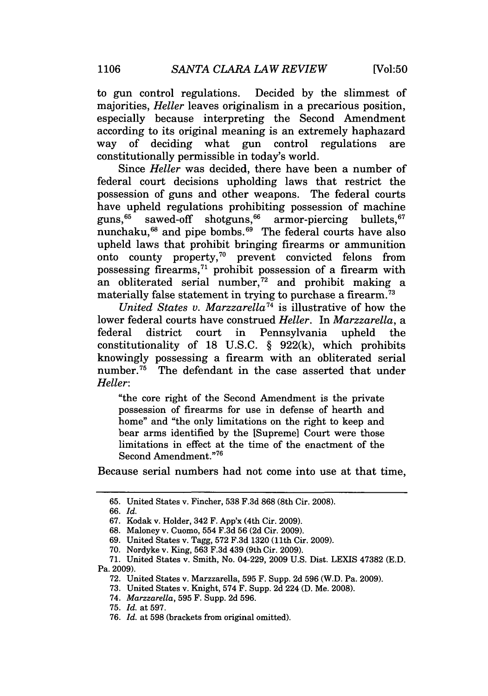to gun control regulations. Decided by the slimmest of majorities, *Heller* leaves originalism in a precarious position, especially because interpreting the Second Amendment according to its original meaning is an extremely haphazard way of deciding what gun control regulations are constitutionally permissible in today's world.

Since *Heller* was decided, there have been a number of federal court decisions upholding laws that restrict the possession of guns and other weapons. The federal courts have upheld regulations prohibiting possession of machine guns, $65$  sawed-off shotguns,  $66$  armor-piercing bullets,  $67$ nunchaku, $^{68}$  and pipe bombs. $^{69}$  The federal courts have also upheld laws that prohibit bringing firearms or ammunition onto county property, $70$  prevent convicted felons from possessing firearms,<sup>71</sup> prohibit possession of a firearm with an obliterated serial number,<sup>72</sup> and prohibit making a materially false statement in trying to purchase a firearm. <sup>73</sup>

*United States v. Marzzarella74* is illustrative of how the lower federal courts have construed *Heller.* In *Marzzarella, a* federal district court in Pennsylvania upheld the constitutionality of 18 U.S.C. § 922(k), which prohibits knowingly possessing a firearm with an obliterated serial number.<sup>75</sup> The defendant in the case asserted that under *Heller:*

"the core right of the Second Amendment is the private possession of firearms for use in defense of hearth and home" and "the only limitations on the right to keep and bear arms identified by the [Supreme] Court were those limitations in effect at the time of the enactment of the Second Amendment."76

Because serial numbers had not come into use at that time,

66. *Id.*

<sup>65.</sup> United States v. Fincher, 538 F.3d 868 (8th Cir. 2008).

<sup>67.</sup> Kodak v. Holder, 342 F. App'x (4th Cir. 2009).

<sup>68.</sup> Maloney v. Cuomo, 554 F.3d 56 (2d Cir. 2009).

<sup>69.</sup> United States v. Tagg, 572 F.3d 1320 (11th Cir. 2009).

<sup>70.</sup> Nordyke v. King, 563 F.3d 439 (9th Cir. 2009).

<sup>71.</sup> United States v. Smith, No. 04-229, 2009 U.S. Dist. LEXIS 47382 (E.D. Pa. 2009).

<sup>72.</sup> United States v. Marzzarella, 595 F. Supp. 2d 596 (W.D. Pa. 2009).

<sup>73.</sup> United States v. Knight, 574 F. Supp. 2d 224 (D. Me. 2008).

<sup>74.</sup> *Marzzarella,* 595 F. Supp. 2d 596.

<sup>75.</sup> *Id.* at 597.

<sup>76.</sup> *Id.* at 598 (brackets from original omitted).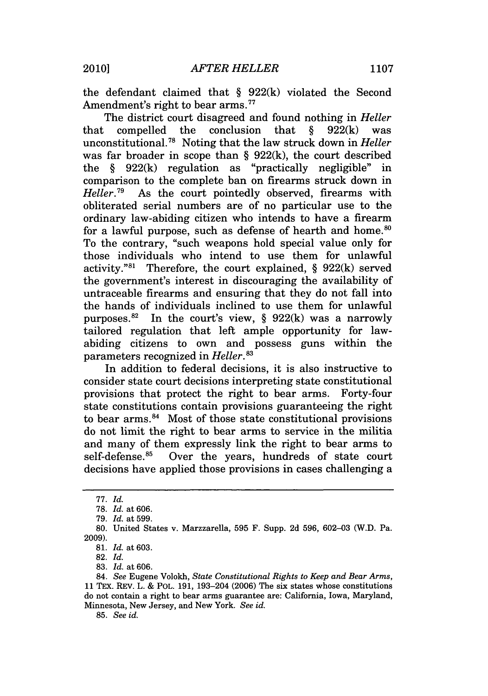the defendant claimed that § 922(k) violated the Second Amendment's right to bear arms.<sup>77</sup>

The district court disagreed and found nothing in *Heller* that compelled the conclusion that  $\delta$  922(k) was unconstitutional. 8 Noting that the law struck down in *Heller* was far broader in scope than § 922(k), the court described the § 922(k) regulation as "practically negligible" in comparison to the complete ban on firearms struck down in  $Heller^{79}$  As the court pointedly observed. firearms with As the court pointedly observed, firearms with obliterated serial numbers are of no particular use to the ordinary law-abiding citizen who intends to have a firearm for a lawful purpose, such as defense of hearth and home.<sup>80</sup> To the contrary, "such weapons hold special value only for those individuals who intend to use them for unlawful activity."<sup>81</sup> Therefore, the court explained,  $\S$  922(k) served the government's interest in discouraging the availability of untraceable firearms and ensuring that they do not fall into the hands of individuals inclined to use them for unlawful purposes.<sup>82</sup> In the court's view, § 922 $(k)$  was a narrowly tailored regulation that left ample opportunity for lawabiding citizens to own and possess guns within the parameters recognized in *Heller."3*

In addition to federal decisions, it is also instructive to consider state court decisions interpreting state constitutional provisions that protect the right to bear arms. Forty-four state constitutions contain provisions guaranteeing the right to bear arms. $^{84}$  Most of those state constitutional provisions do not limit the right to bear arms to service in the militia and many of them expressly link the right to bear arms to self-defense.<sup>85</sup> Over the years, hundreds of state court decisions have applied those provisions in cases challenging a

82. *Id.*

83. *Id.* at 606.

85. *See id.*

<sup>77.</sup> *Id.*

<sup>78.</sup> Id. at 606.

<sup>79.</sup> *Id.* at 599.

<sup>80.</sup> United States v. Marzzarella, 595 F. Supp. 2d 596, 602-03 (W.D. Pa. 2009).

<sup>81.</sup> *Id.* at 603.

<sup>84.</sup> *See* Eugene Volokh, *State Constitutional Rights to Keep and Bear Arms,* 11 TEx. REV. L. & POL. 191, 193-204 (2006) The six states whose constitutions do not contain a right to bear arms guarantee are: California, Iowa, Maryland, Minnesota, New Jersey, and New York. *See id.*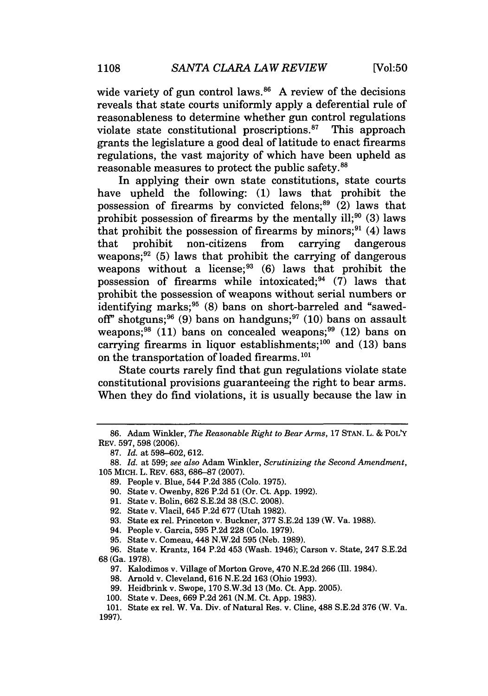wide variety of gun control laws. $86$  A review of the decisions reveals that state courts uniformly apply a deferential rule of reasonableness to determine whether gun control regulations violate state constitutional proscriptions. 87 This approach grants the legislature a good deal of latitude to enact firearms regulations, the vast majority of which have been upheld as reasonable measures to protect the public safety.<sup>88</sup>

In applying their own state constitutions, state courts have upheld the following: (1) laws that prohibit the possession of firearms by convicted felons; $^{89}$  (2) laws that prohibit possession of firearms by the mentally ill;<sup>90</sup> (3) laws that prohibit the possession of firearms by minors;<sup>91</sup> (4) laws that prohibit non-citizens from carrying dangerous weapons; $^{92}$  (5) laws that prohibit the carrying of dangerous weapons without a license; $^{93}$  (6) laws that prohibit the possession of firearms while intoxicated;  $94$  (7) laws that prohibit the possession of weapons without serial numbers or identifying marks;<sup>95</sup> (8) bans on short-barreled and "sawedoff" shotguns;  $96$  (9) bans on handguns;  $97$  (10) bans on assault weapons;  $98$  (11) bans on concealed weapons;  $99$  (12) bans on carrying firearms in liquor establishments;<sup>100</sup> and (13) bans on the transportation of loaded firearms. **<sup>101</sup>**

State courts rarely find that gun regulations violate state constitutional provisions guaranteeing the right to bear arms. When they do find violations, it is usually because the law in

94. People v. Garcia, 595 P.2d 228 (Colo. 1979).

95. State v. Comeau, 448 N.W.2d 595 (Neb. 1989).

96. State v. Krantz, 164 P.2d 453 (Wash. 1946); Carson v. State, 247 S.E.2d 68 (Ga. 1978).

97. Kalodimos v. Village of Morton Grove, 470 N.E.2d 266 (Ill. 1984).

<sup>86.</sup> Adam Winkler, *The Reasonable Right to Bear Arms,* 17 STAN. L. & POLY REV. 597, 598 (2006).

<sup>87.</sup> *Id.* at 598-602, 612.

<sup>88.</sup> *Id.* at 599; *see also* Adam Winkler, *Scrutinizing the Second Amendment,* 105 MICH. L. REV. 683, 686-87 (2007).

<sup>89.</sup> People v. Blue, 544 P.2d 385 (Colo. 1975).

<sup>90.</sup> State v. Owenby, 826 P.2d 51 (Or. Ct. App. 1992).

<sup>91.</sup> State v. Boln, 662 S.E.2d 38 (S.C. 2008).

<sup>92.</sup> State v. Vlacil, 645 P.2d 677 (Utah 1982).

<sup>93.</sup> State ex rel. Princeton v. Buckner, 377 S.E.2d 139 (W. Va. 1988).

<sup>98.</sup> Arnold v. Cleveland, 616 N.E.2d 163 (Ohio 1993).

<sup>99.</sup> Heidbrink v. Swope, 170 S.W.3d 13 (Mo. Ct. App. 2005).

<sup>100.</sup> State v. Dees, 669 P.2d 261 (N.M. Ct. App. 1983).

<sup>101.</sup> State ex rel. W. Va. Div. of Natural Res. v. Cline, 488 S.E.2d 376 (W. Va. 1997).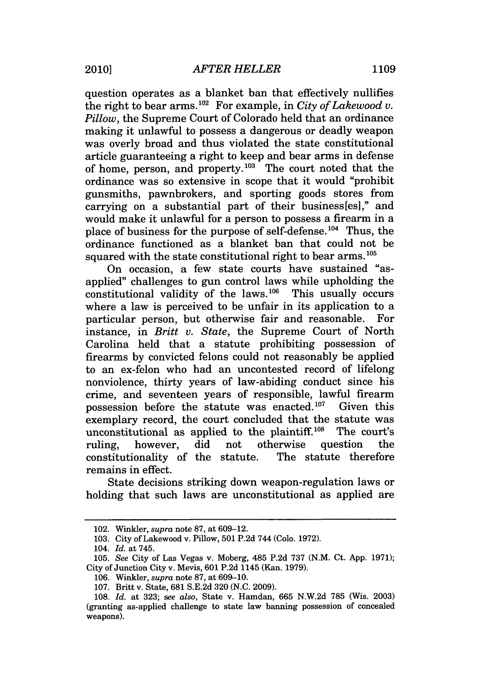question operates as a blanket ban that effectively nullifies the right to bear arms.<sup>102</sup> For example, in *City of Lakewood v. Pillow,* the Supreme Court of Colorado held that an ordinance making it unlawful to possess a dangerous or deadly weapon was overly broad and thus violated the state constitutional article guaranteeing a right to keep and bear arms in defense of home, person, and property. $103$  The court noted that the ordinance was so extensive in scope that it would "prohibit gunsmiths, pawnbrokers, and sporting goods stores from carrying on a substantial part of their business[esl," and would make it unlawful for a person to possess a firearm in a place of business for the purpose of self-defense.<sup>104</sup> Thus, the ordinance functioned as a blanket ban that could not be squared with the state constitutional right to bear arms.<sup>105</sup>

On occasion, a few state courts have sustained "asapplied" challenges to gun control laws while upholding the  $\overline{\text{const}}$  constitutional validity of the laws.<sup>106</sup> This usually occurs where a law is perceived to be unfair in its application to a particular person, but otherwise fair and reasonable. For instance, in *Britt v. State,* the Supreme Court of North Carolina held that a statute prohibiting possession of firearms by convicted felons could not reasonably be applied to an ex-felon who had an uncontested record of lifelong nonviolence, thirty years of law-abiding conduct since his crime, and seventeen years of responsible, lawful firearm possession before the statute was enacted. $107$  Given this exemplary record, the court concluded that the statute was unconstitutional as applied to the plaintiff. $108$  The court's ruling, however, did not otherwise question the constitutionality of the statute. The statute therefore remains in effect.

State decisions striking down weapon-regulation laws or holding that such laws are unconstitutional as applied are

<sup>102.</sup> Winkler, *supra* note 87, at 609-12.

<sup>103.</sup> City of Lakewood v. Pillow, 501 P.2d 744 (Colo. 1972).

<sup>104.</sup> *Id.* at 745.

<sup>105.</sup> *See* City of Las Vegas v. Moberg, 485 P.2d 737 (N.M. Ct. App. 1971); City of Junction City v. Mevis, 601 P.2d 1145 (Kan. 1979).

<sup>106.</sup> Winkler, *supra* note 87, at 609-10.

<sup>107.</sup> Britt v. State, 681 S.E.2d 320 (N.C. 2009).

<sup>108.</sup> *Id.* at 323; *see also,* State v. Hamdan, 665 N.W.2d 785 (Wis. 2003) (granting as-applied challenge to state law banning possession of concealed weapons).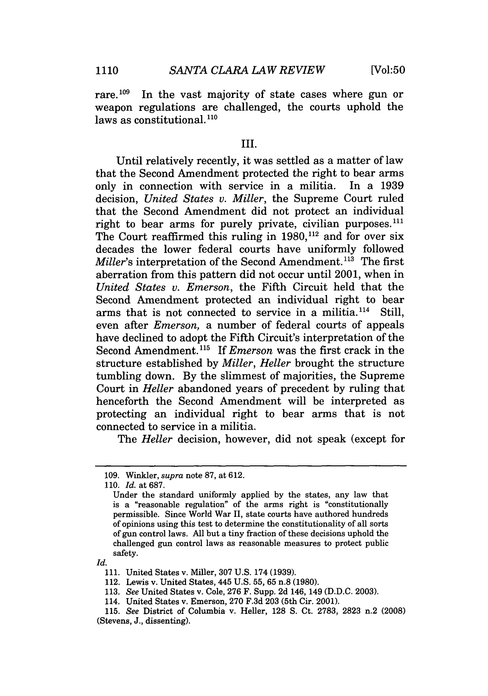rare.<sup>109</sup> In the vast majority of state cases where gun or weapon regulations are challenged, the courts uphold the house as constitutional.<sup>110</sup>

#### III.

Until relatively recently, it was settled as a matter of law that the Second Amendment protected the right to bear arms<br>only in connection with service in a militia. In a 1939 only in connection with service in a militia. decision, *United States v. Miller,* the Supreme Court ruled that the Second Amendment did not protect an individual right to bear arms for purely private, civilian purposes. $111$ The Court reaffirmed this ruling in  $1980$ ,<sup>112</sup> and for over six decades the lower federal courts have uniformly followed *Miller's* interpretation of the Second Amendment.<sup>113</sup> The first aberration from this pattern did not occur until 2001, when in *United States v. Emerson,* the Fifth Circuit held that the Second Amendment protected an individual right to bear arms that is not connected to service in a militia. $114$  Still, even after *Emerson,* a number of federal courts of appeals have declined to adopt the Fifth Circuit's interpretation of the Second Amendment.<sup>115</sup> If *Emerson* was the first crack in the structure established by *Miller, Heller* brought the structure tumbling down. By the slimmest of majorities, the Supreme Court in *Heller* abandoned years of precedent by ruling that henceforth the Second Amendment will be interpreted as protecting an individual right to bear arms that is not connected to service in a militia.

The *Heller* decision, however, did not speak (except for

*Id.*

<sup>109.</sup> Winkler, *supra* note 87, at 612.

<sup>110.</sup> *Id.* at 687.

Under the standard uniformly applied by the states, any law that is a "reasonable regulation" of the arms right is "constitutionally permissible. Since World War II, state courts have authored hundreds of opinions using this test to determine the constitutionality of all sorts of gun control laws. All but a tiny fraction of these decisions uphold the challenged gun control laws as reasonable measures to protect public safety.

<sup>111.</sup> United States v. Miller, 307 U.S. 174 (1939).

<sup>112.</sup> Lewis v. United States, 445 U.S. 55, 65 n.8 (1980).

<sup>113.</sup> *See* United States v. Cole, 276 F. Supp. 2d 146, 149 (D.D.C. 2003).

<sup>114.</sup> United States v. Emerson, 270 F.3d 203 (5th Cir. 2001).

<sup>115.</sup> *See* District of Columbia v. Heller, 128 **S.** Ct. 2783, 2823 n.2 (2008) (Stevens, J., dissenting).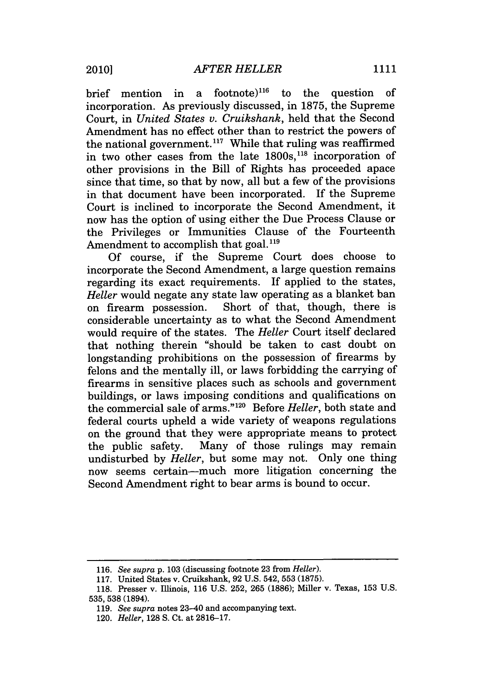brief mention in a footnote)<sup>116</sup> to the question of incorporation. As previously discussed, in 1875, the Supreme Court, in *United States v. Cruikshank,* held that the Second Amendment has no effect other than to restrict the powers of the national government.<sup>117</sup> While that ruling was reaffirmed in two other cases from the late 1800s,<sup>118</sup> incorporation of other provisions in the Bill of Rights has proceeded apace since that time, so that by now, all but a few of the provisions in that document have been incorporated. If the Supreme Court is inclined to incorporate the Second Amendment, it now has the option of using either the Due Process Clause or the Privileges or Immunities Clause of the Fourteenth Amendment to accomplish that goal.<sup>119</sup>

Of course, if the Supreme Court does choose to incorporate the Second Amendment, a large question remains regarding its exact requirements. If applied to the states, *Heller* would negate any state law operating as a blanket ban on firearm possession. Short of that, though, there is considerable uncertainty as to what the Second Amendment would require of the states. The *Heller* Court itself declared that nothing therein "should be taken to cast doubt on longstanding prohibitions on the possession of firearms by felons and the mentally ill, or laws forbidding the carrying of firearms in sensitive places such as schools and government buildings, or laws imposing conditions and qualifications on the commercial sale of arms."120 Before *Heller,* both state and federal courts upheld a wide variety of weapons regulations on the ground that they were appropriate means to protect the public safety. Many of those rulings may remain undisturbed by *Heller,* but some may not. Only one thing now seems certain-much more litigation concerning the Second Amendment right to bear arms is bound to occur.

<sup>116.</sup> *See supra* p. 103 (discussing footnote 23 from *Heller).*

<sup>117.</sup> United States v. Cruikshank, 92 U.S. 542, 553 (1875).

<sup>118.</sup> Presser v. Illinois, 116 U.S. 252, 265 (1886); Miller v. Texas, 153 U.S. 535, 538 (1894).

<sup>119.</sup> *See supra* notes 23-40 and accompanying text.

<sup>120.</sup> *Heller,* 128 **S.** Ct. at 2816-17.